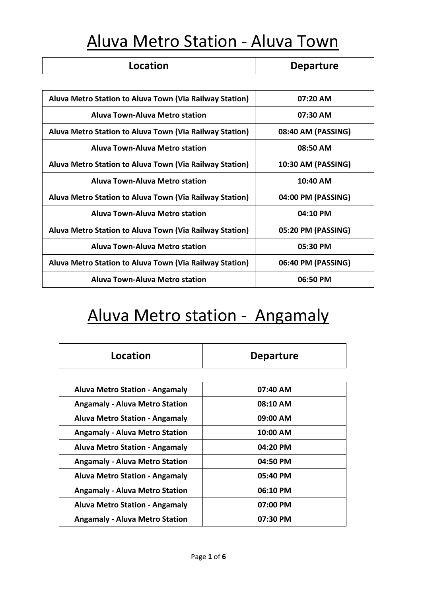#### Aluva Metro Station - Aluva Town

| Location                                                | <b>Departure</b>   |  |
|---------------------------------------------------------|--------------------|--|
|                                                         |                    |  |
| Aluva Metro Station to Aluva Town (Via Railway Station) | $07:20$ AM         |  |
| Aluva Town-Aluva Metro station                          | $07:30$ AM         |  |
| Aluva Metro Station to Aluva Town (Via Railway Station) | 08:40 AM (PASSING) |  |
| Aluva Town-Aluva Metro station                          | 08:50 AM           |  |
| Aluva Metro Station to Aluva Town (Via Railway Station) | 10:30 AM (PASSING) |  |
| Aluva Town-Aluva Metro station                          | $10:40$ AM         |  |
| Aluva Metro Station to Aluva Town (Via Railway Station) | 04:00 PM (PASSING) |  |
| <b>Aluva Town-Aluva Metro station</b>                   | $04:10$ PM         |  |
| Aluva Metro Station to Aluva Town (Via Railway Station) | 05:20 PM (PASSING) |  |
| Aluva Town-Aluva Metro station                          | 05:30 PM           |  |
| Aluva Metro Station to Aluva Town (Via Railway Station) | 06:40 PM (PASSING) |  |
| <b>Aluva Town-Aluva Metro station</b>                   | 06:50 PM           |  |

# Aluva Metro station - Angamaly

| Location                              | <b>Departure</b> |  |
|---------------------------------------|------------------|--|
|                                       |                  |  |
| <b>Aluva Metro Station - Angamaly</b> | $07:40$ AM       |  |
| <b>Angamaly - Aluva Metro Station</b> | 08:10 AM         |  |
| <b>Aluva Metro Station - Angamaly</b> | 09:00 AM         |  |
| <b>Angamaly - Aluva Metro Station</b> | 10:00 AM         |  |
| <b>Aluva Metro Station - Angamaly</b> | 04:20 PM         |  |
| <b>Angamaly - Aluva Metro Station</b> | 04:50 PM         |  |
| <b>Aluva Metro Station - Angamaly</b> | 05:40 PM         |  |
| <b>Angamaly - Aluva Metro Station</b> | 06:10 PM         |  |
| <b>Aluva Metro Station - Angamaly</b> | 07:00 PM         |  |
| <b>Angamaly - Aluva Metro Station</b> | 07:30 PM         |  |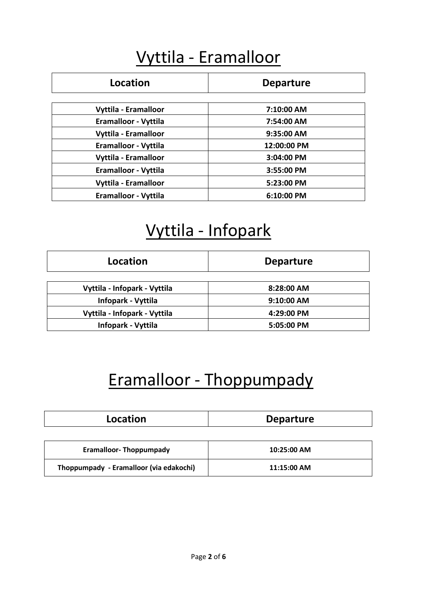### Vyttila - Eramalloor

| Location             | <b>Departure</b> |  |
|----------------------|------------------|--|
|                      |                  |  |
| Vyttila - Eramalloor | 7:10:00 AM       |  |
| Eramalloor - Vyttila | 7:54:00 AM       |  |
| Vyttila - Eramalloor | 9:35:00 AM       |  |
| Eramalloor - Vyttila | 12:00:00 PM      |  |
| Vyttila - Eramalloor | 3:04:00 PM       |  |
| Eramalloor - Vyttila | 3:55:00 PM       |  |
| Vyttila - Eramalloor | 5:23:00 PM       |  |
| Eramalloor - Vyttila | 6:10:00 PM       |  |

### Vyttila - Infopark

| Location                     | <b>Departure</b> |  |
|------------------------------|------------------|--|
| Vyttila - Infopark - Vyttila | 8:28:00 AM       |  |
| Infopark - Vyttila           | 9:10:00 AM       |  |
| Vyttila - Infopark - Vyttila | 4:29:00 PM       |  |
| Infopark - Vyttila           | 5:05:00 PM       |  |

# Eramalloor - Thoppumpady

| Location | <b>Departure</b> |
|----------|------------------|
|          |                  |

| <b>Eramalloor-Thoppumpady</b>           | 10:25:00 AM |
|-----------------------------------------|-------------|
| Thoppumpady - Eramalloor (via edakochi) | 11:15:00 AM |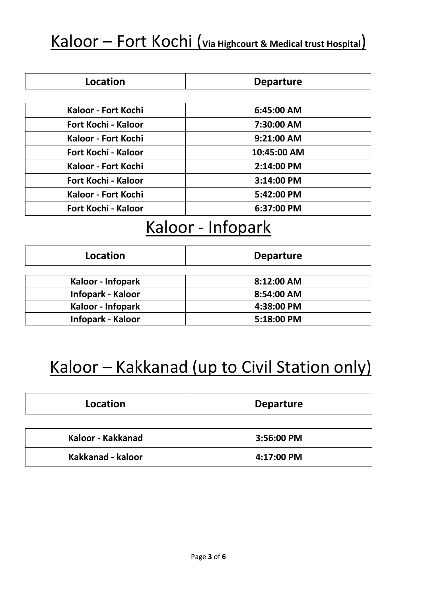#### Kaloor – Fort Kochi (**Via Highcourt & Medical trust Hospital**)

| Location                   | <b>Departure</b> |  |
|----------------------------|------------------|--|
|                            |                  |  |
| Kaloor - Fort Kochi        | $6:45:00$ AM     |  |
| <b>Fort Kochi - Kaloor</b> | 7:30:00 AM       |  |
| Kaloor - Fort Kochi        | $9:21:00$ AM     |  |
| Fort Kochi - Kaloor        | 10:45:00 AM      |  |
| Kaloor - Fort Kochi        | 2:14:00 PM       |  |
| <b>Fort Kochi - Kaloor</b> | 3:14:00 PM       |  |
| Kaloor - Fort Kochi        | 5:42:00 PM       |  |
| <b>Fort Kochi - Kaloor</b> | 6:37:00 PM       |  |

#### Kaloor - Infopark

| Location          | <b>Departure</b> |
|-------------------|------------------|
| Kaloor - Infopark | 8:12:00 AM       |
| Infopark - Kaloor | 8:54:00 AM       |
| Kaloor - Infopark | 4:38:00 PM       |
| Infopark - Kaloor | 5:18:00 PM       |

## Kaloor – Kakkanad (up to Civil Station only)

| Location          | <b>Departure</b> |  |
|-------------------|------------------|--|
|                   |                  |  |
| Kaloor - Kakkanad | 3:56:00 PM       |  |
| Kakkanad - kaloor | 4:17:00 PM       |  |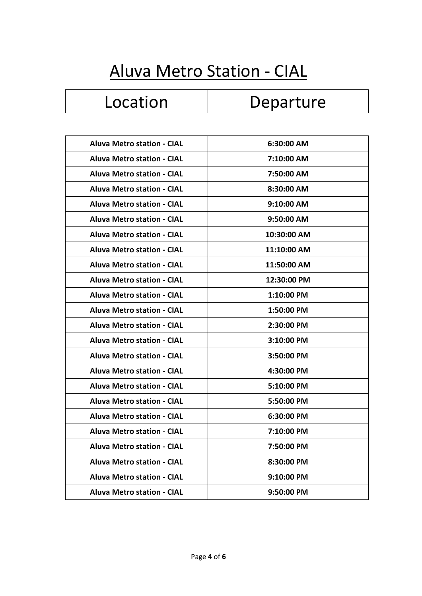# Aluva Metro Station - CIAL

## Location | Departure

| <b>Aluva Metro station - CIAL</b> | 6:30:00 AM  |
|-----------------------------------|-------------|
| <b>Aluva Metro station - CIAL</b> | 7:10:00 AM  |
| <b>Aluva Metro station - CIAL</b> | 7:50:00 AM  |
| <b>Aluva Metro station - CIAL</b> | 8:30:00 AM  |
| <b>Aluva Metro station - CIAL</b> | 9:10:00 AM  |
| <b>Aluva Metro station - CIAL</b> | 9:50:00 AM  |
| <b>Aluva Metro station - CIAL</b> | 10:30:00 AM |
| <b>Aluva Metro station - CIAL</b> | 11:10:00 AM |
| <b>Aluva Metro station - CIAL</b> | 11:50:00 AM |
| <b>Aluva Metro station - CIAL</b> | 12:30:00 PM |
| <b>Aluva Metro station - CIAL</b> | 1:10:00 PM  |
| <b>Aluva Metro station - CIAL</b> | 1:50:00 PM  |
| <b>Aluva Metro station - CIAL</b> | 2:30:00 PM  |
| <b>Aluva Metro station - CIAL</b> | 3:10:00 PM  |
| <b>Aluva Metro station - CIAL</b> | 3:50:00 PM  |
| <b>Aluva Metro station - CIAL</b> | 4:30:00 PM  |
| <b>Aluva Metro station - CIAL</b> | 5:10:00 PM  |
| <b>Aluva Metro station - CIAL</b> | 5:50:00 PM  |
| <b>Aluva Metro station - CIAL</b> | 6:30:00 PM  |
| <b>Aluva Metro station - CIAL</b> | 7:10:00 PM  |
| <b>Aluva Metro station - CIAL</b> | 7:50:00 PM  |
| <b>Aluva Metro station - CIAL</b> | 8:30:00 PM  |
| <b>Aluva Metro station - CIAL</b> | 9:10:00 PM  |
| <b>Aluva Metro station - CIAL</b> | 9:50:00 PM  |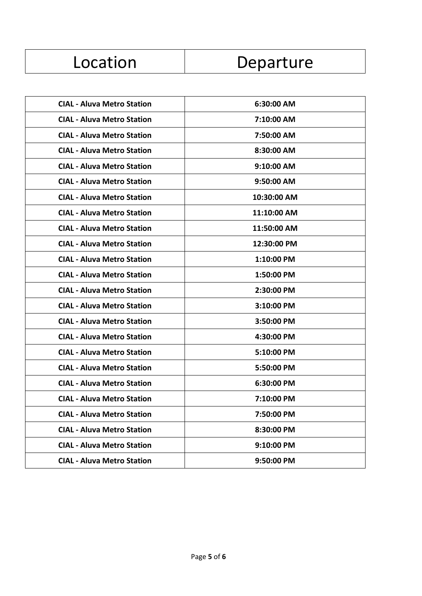| Location |  |  |
|----------|--|--|
|          |  |  |

| <b>CIAL - Aluva Metro Station</b> | 6:30:00 AM   |
|-----------------------------------|--------------|
| <b>CIAL - Aluva Metro Station</b> | 7:10:00 AM   |
| <b>CIAL - Aluva Metro Station</b> | 7:50:00 AM   |
| <b>CIAL - Aluva Metro Station</b> | 8:30:00 AM   |
| <b>CIAL - Aluva Metro Station</b> | 9:10:00 AM   |
| <b>CIAL - Aluva Metro Station</b> | 9:50:00 AM   |
| <b>CIAL - Aluva Metro Station</b> | 10:30:00 AM  |
| <b>CIAL - Aluva Metro Station</b> | 11:10:00 AM  |
| <b>CIAL - Aluva Metro Station</b> | 11:50:00 AM  |
| <b>CIAL - Aluva Metro Station</b> | 12:30:00 PM  |
| <b>CIAL - Aluva Metro Station</b> | 1:10:00 PM   |
| <b>CIAL - Aluva Metro Station</b> | $1:50:00$ PM |
| <b>CIAL - Aluva Metro Station</b> | 2:30:00 PM   |
| <b>CIAL - Aluva Metro Station</b> | 3:10:00 PM   |
| <b>CIAL - Aluva Metro Station</b> | 3:50:00 PM   |
| <b>CIAL - Aluva Metro Station</b> | 4:30:00 PM   |
| <b>CIAL - Aluva Metro Station</b> | 5:10:00 PM   |
| <b>CIAL - Aluva Metro Station</b> | 5:50:00 PM   |
| <b>CIAL - Aluva Metro Station</b> | 6:30:00 PM   |
| <b>CIAL - Aluva Metro Station</b> | 7:10:00 PM   |
| <b>CIAL - Aluva Metro Station</b> | 7:50:00 PM   |
| <b>CIAL - Aluva Metro Station</b> | 8:30:00 PM   |
| <b>CIAL - Aluva Metro Station</b> | 9:10:00 PM   |
| <b>CIAL - Aluva Metro Station</b> | 9:50:00 PM   |